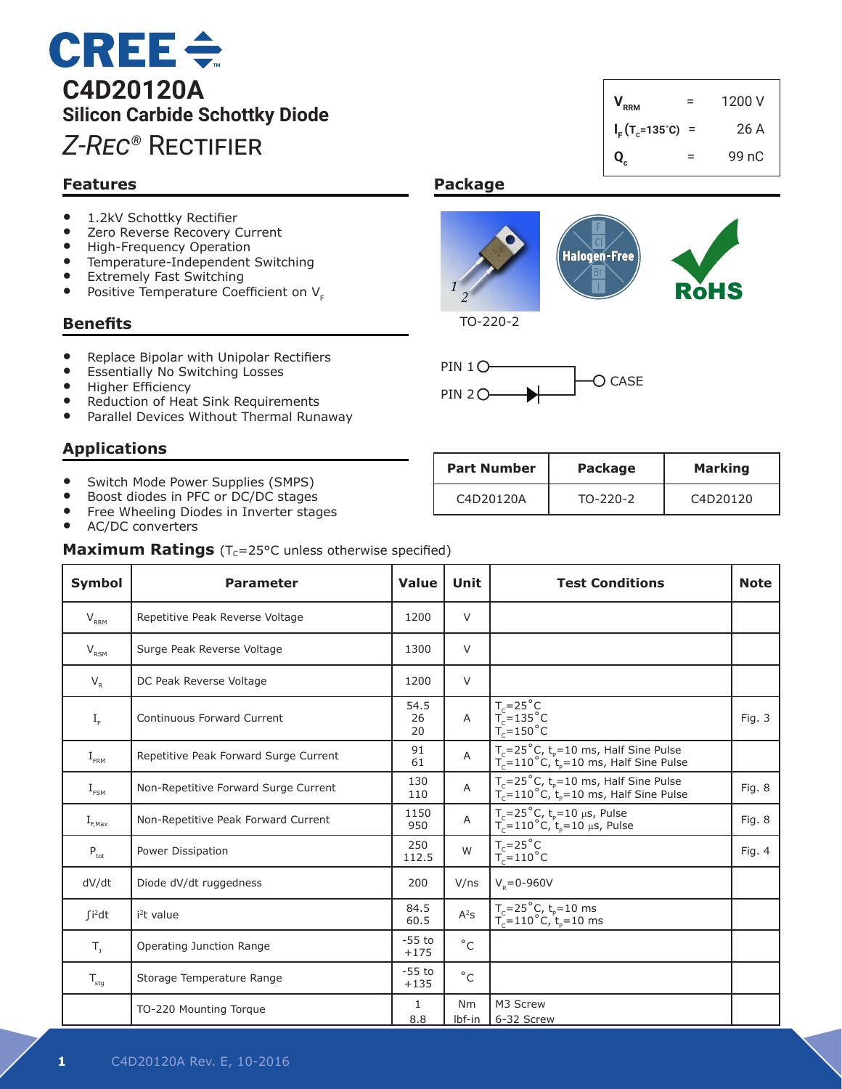# **CREE** $\div$ **C4D20120A Silicon Carbide Schottky Diode** *Z-Rec®* Rectifier

# **Features**

- 1.2kV Schottky Rectifier<br>• 7ero Reverse Recovery (
- Zero Reverse Recovery Current<br>• High-Frequency Operation
- High-Frequency Operation
- Temperature-Independent Switching<br>• Extremely Fast Switching
- Extremely Fast Switching<br>• Positive Temperature Coe
- Positive Temperature Coefficient on  $V_{E}$

### **Benefits**

- Replace Bipolar with Unipolar Rectifiers
- Essentially No Switching Losses
- • Higher Efficiency
- Reduction of Heat Sink Requirements
- Parallel Devices Without Thermal Runaway

# **Applications**

- Switch Mode Power Supplies (SMPS)
- Boost diodes in PFC or DC/DC stages
- Free Wheeling Diodes in Inverter stages
- AC/DC converters

**Maximum Ratings** (T<sub>C</sub>=25°C unless otherwise specified)

| Symbol                                 | <b>Parameter</b>                      | <b>Value</b>       | <b>Unit</b>         | <b>Test Conditions</b>                                                                                                | <b>Note</b> |
|----------------------------------------|---------------------------------------|--------------------|---------------------|-----------------------------------------------------------------------------------------------------------------------|-------------|
| $V_{RRM}$                              | Repetitive Peak Reverse Voltage       | 1200               | V                   |                                                                                                                       |             |
| $V_{RSM}$                              | Surge Peak Reverse Voltage            | 1300               | V                   |                                                                                                                       |             |
| $V_R$                                  | DC Peak Reverse Voltage               | 1200               | V                   |                                                                                                                       |             |
| $I_F$                                  | Continuous Forward Current            | 54.5<br>26<br>20   | Α                   | $T_c=25^\circ C$<br>$T_c=135^\circ C$<br>$T_c=150^\circ C$                                                            | Fig. 3      |
| $I_{\text{FRM}}$                       | Repetitive Peak Forward Surge Current | 91<br>61           | Α                   | $T_c = 25^{\circ}$ C, t <sub>p</sub> =10 ms, Half Sine Pulse<br>$T_c = 110^{\circ}$ C, $t_p = 10$ ms, Half Sine Pulse |             |
| $I_{FSM}$                              | Non-Repetitive Forward Surge Current  | 130<br>110         | Α                   | $T_c = 25^{\circ}$ C, $t_p = 10$ ms, Half Sine Pulse<br>$T_c = 110^{\circ}$ C, $t_p = 10$ ms, Half Sine Pulse         | Fig. 8      |
| $\mathrm{I}_{\varepsilon, \text{Max}}$ | Non-Repetitive Peak Forward Current   | 1150<br>950        | A                   | $T_c = 25^{\circ}C$ , $t_p = 10 \mu s$ , Pulse<br>$T_c = 110^{\circ}C$ , $t_p = 10 \mu s$ , Pulse                     | Fig. 8      |
| $\mathsf{P}_{\sf tot}$                 | Power Dissipation                     | 250<br>112.5       | W                   | $T_c = 25^\circ C$<br>$T_c = 110^\circ C$                                                                             | Fig. 4      |
| dV/dt                                  | Diode dV/dt ruggedness                | 200                | V/ns                | $V_{p} = 0 - 960V$                                                                                                    |             |
| $fi^2dt$                               | i <sup>2</sup> t value                | 84.5<br>60.5       | $A^2S$              | $T_c = 25^{\circ}$ C, t <sub>p</sub> =10 ms<br>T <sub>c</sub> =110°C, t <sub>p</sub> =10 ms                           |             |
| $T_{1}$                                | Operating Junction Range              | $-55$ to<br>$+175$ | $^{\circ}$ C        |                                                                                                                       |             |
| $T_{\text{stg}}$                       | Storage Temperature Range             | $-55$ to<br>$+135$ | $^{\circ}$ C        |                                                                                                                       |             |
|                                        | TO-220 Mounting Torque                | 1<br>8.8           | <b>Nm</b><br>lbf-in | M3 Screw<br>6-32 Screw                                                                                                |             |

# $V_{RRM}$  = 1200 V  $I_F(T_c=135^\circ C) = 26 \text{ A}$  $Q_c$  =  $99 nC$

# **Package**



TO-220-2



| <b>Part Number</b> | <b>Package</b> | <b>Marking</b>                    |
|--------------------|----------------|-----------------------------------|
| C4D20120A          | $TO-220-2$     | C <sub>4</sub> D <sub>20120</sub> |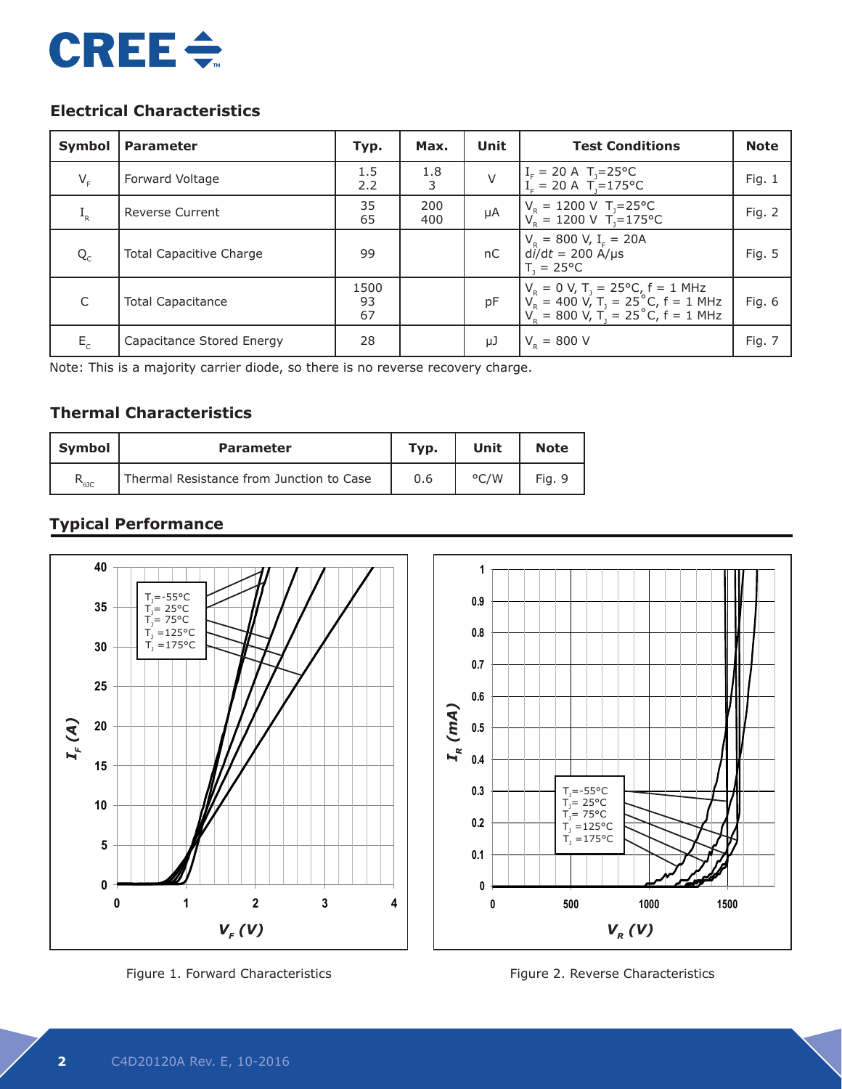

# **Electrical Characteristics**

| Symbol  | <b>Parameter</b>               | Typ.             | Max.       | Unit | <b>Test Conditions</b>                                                                                                                                    | <b>Note</b> |
|---------|--------------------------------|------------------|------------|------|-----------------------------------------------------------------------------------------------------------------------------------------------------------|-------------|
| $V_F$   | Forward Voltage                | 1.5<br>2.2       | 1.8<br>3   | V    | $I_F = 20 \text{ A}$ T <sub>J</sub> =25°C<br>I <sub>F</sub> = 20 A T <sub>J</sub> =175°C                                                                  | Fig. $1$    |
| $I_R$   | <b>Reverse Current</b>         | 35<br>65         | 200<br>400 | μA   | $V_R = 1200 \text{ V}$ T <sub>J</sub> =25°C<br>$V_e = 1200 \text{ V}$ T <sub>1</sub> =175°C                                                               | Fig. 2      |
| $Q_{C}$ | <b>Total Capacitive Charge</b> | 99               |            | nC   | $V_R = 800 V, I_F = 20A$<br>$d\hat{i}/dt = 200$ A/µs<br>$T = 25^{\circ}C$                                                                                 | Fig. 5      |
| C       | <b>Total Capacitance</b>       | 1500<br>93<br>67 |            | pF   | $V_R = 0 V$ , $T_1 = 25^{\circ}C$ , $f = 1$ MHz<br>$V_R = 400 V$ , $T_1 = 25^{\circ}C$ , $f = 1$ MHz<br>$V_R = 800 V$ , $T_1 = 25^{\circ}C$ , $f = 1$ MHz | Fig. 6      |
| $E_c$   | Capacitance Stored Energy      | 28               |            | μJ   | $V_{\rm p} = 800$ V                                                                                                                                       | Fig. 7      |

Note: This is a majority carrier diode, so there is no reverse recovery charge.

# **Thermal Characteristics**

| Svmbol         | <b>Parameter</b>                         | Typ. | Unit          | <b>Note</b> |
|----------------|------------------------------------------|------|---------------|-------------|
| $R_{\theta$ JC | Thermal Resistance from Junction to Case | 0.6  | $\degree$ C/W | Fig. 9      |

# **Typical Performance**



Figure 1. Forward Characteristics

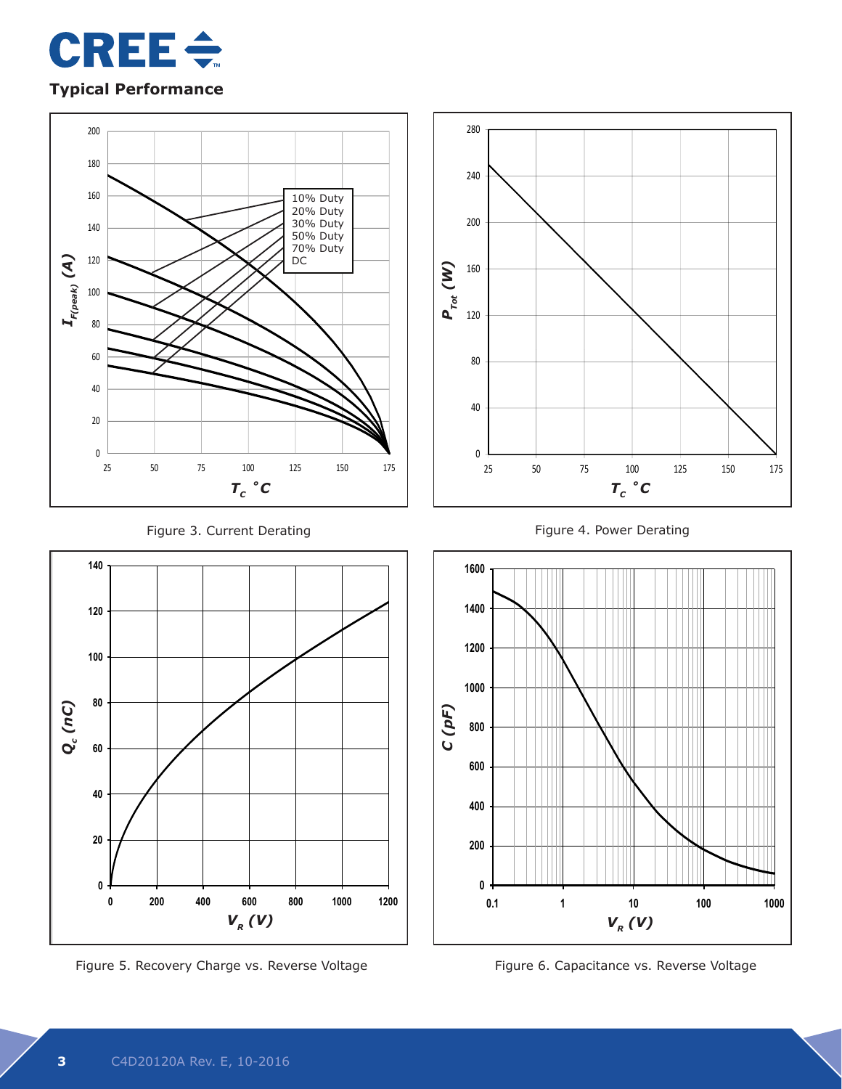

# **Typical Performance**





Figure 5. Recovery Charge vs. Reverse Voltage **Xanadia Communist Constance vs. Reverse Voltage** 







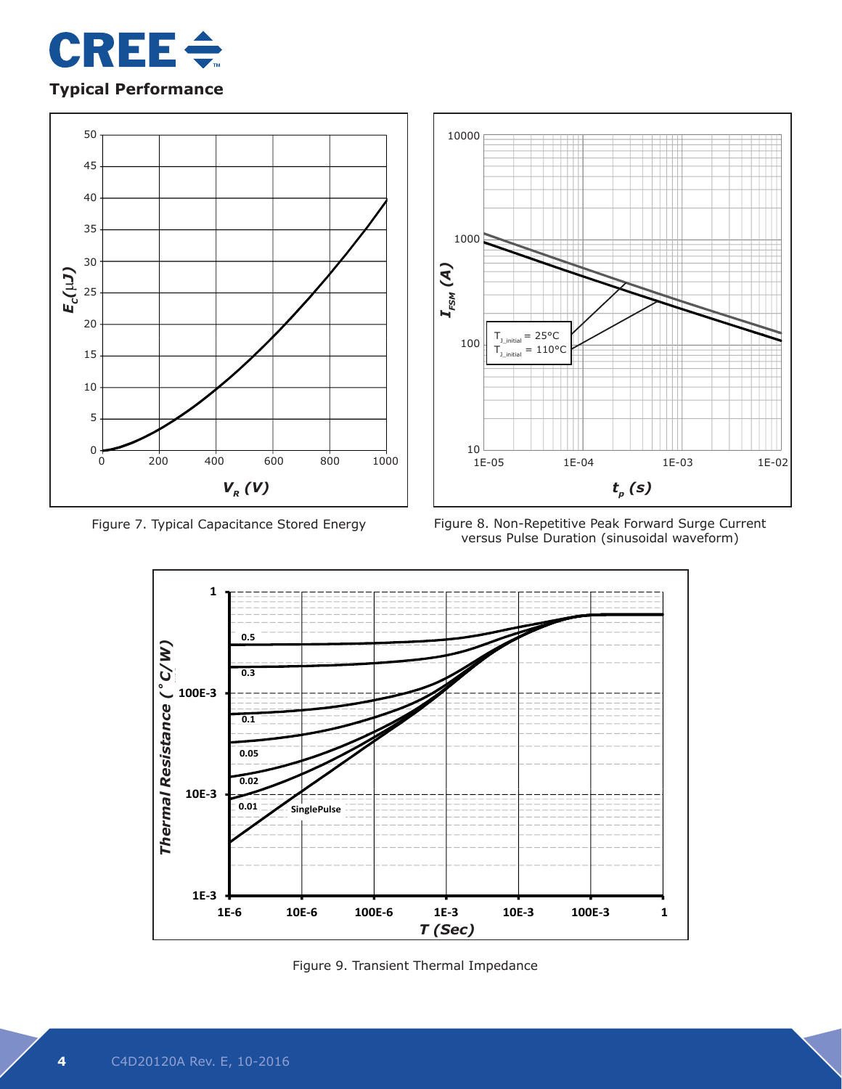

# **Typical Performance**





Figure 7. Typical Capacitance Stored Energy Figure 8. Non-Repetitive Peak Forward Surge Current versus Pulse Duration (sinusoidal waveform)



Figure 9. Transient Thermal Impedance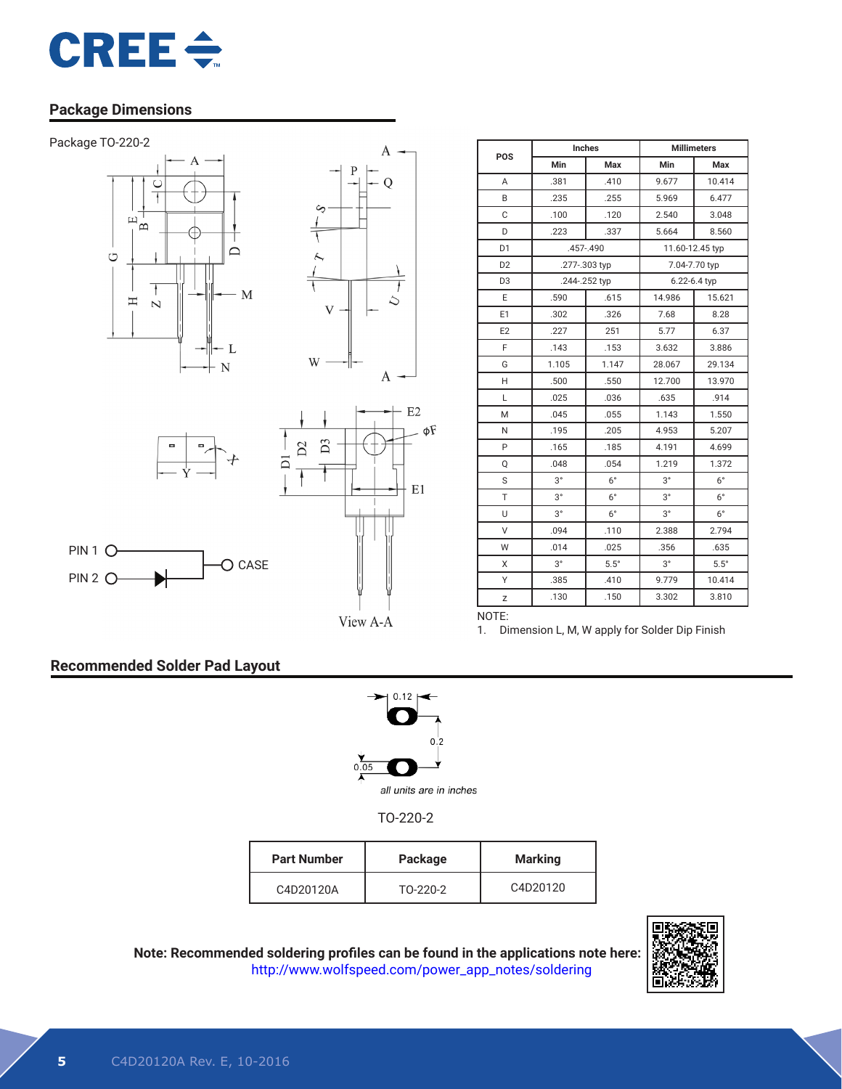

## **Package Dimensions**







O CASE



| POS            | <b>Inches</b> |               | <b>Millimeters</b> |              |  |
|----------------|---------------|---------------|--------------------|--------------|--|
|                | Min           | Max           | <b>Min</b>         | Max          |  |
| A              | .381          | .410          | 9.677              | 10.414       |  |
| B              | .235          | .255          | 5.969              | 6.477        |  |
| C              | .100          | .120          | 2.540              | 3.048        |  |
| D              | .223          | .337          | 5.664              | 8.560        |  |
| D <sub>1</sub> |               | .457-.490     | 11.60-12.45 typ    |              |  |
| D <sub>2</sub> | .277-.303 typ |               | 7.04-7.70 typ      |              |  |
| D <sub>3</sub> |               | .244-.252 typ |                    | 6.22-6.4 typ |  |
| E              | .590          | .615          | 14.986             | 15.621       |  |
| E1             | .302          | .326          | 7.68               | 8.28         |  |
| E <sub>2</sub> | .227          | 251           | 5.77               | 6.37         |  |
| F              | .143          | .153          | 3.632              | 3.886        |  |
| G              | 1.105         | 1.147         | 28.067             | 29.134       |  |
| H              | .500          | .550          | 12.700             | 13.970       |  |
| L              | .025          | .036          | .635               | .914         |  |
| M              | .045          | .055          | 1.143              | 1.550        |  |
| N              | .195          | .205          | 4.953              | 5.207        |  |
| P              | .165          | .185          | 4.191              | 4.699        |  |
| Q              | .048          | .054          | 1.219              | 1.372        |  |
| S              | $3^{\circ}$   | $6^{\circ}$   | $3^{\circ}$        | $6^{\circ}$  |  |
| T              | $3^{\circ}$   | $6^{\circ}$   | $3^{\circ}$        | $6^{\circ}$  |  |
| U              | $3^{\circ}$   | $6^{\circ}$   | $3^{\circ}$        | $6^{\circ}$  |  |
| V              | .094          | .110          | 2.388              | 2.794        |  |
| W              | .014          | .025          | .356               | .635         |  |
| X              | $3^{\circ}$   | $5.5^\circ$   | $3^{\circ}$        | $5.5^\circ$  |  |
| Υ              | .385          | .410          | 9.779              | 10.414       |  |
| Z              | .130          | .150          | 3.302              | 3.810        |  |

View A-A

1. Dimension L, M, W apply for Solder Dip Finish

### **Recommended Solder Pad Layout**

PIN 2 O-



NOTE:

TO-220-2

| <b>Part Number</b> | Package  | Marking  |
|--------------------|----------|----------|
| C4D20120A          | T0-220-2 | C4D20120 |

**Note: Recommended soldering profiles can be found in the applications note here:** http://www.wolfspeed.com/power\_app\_notes/soldering